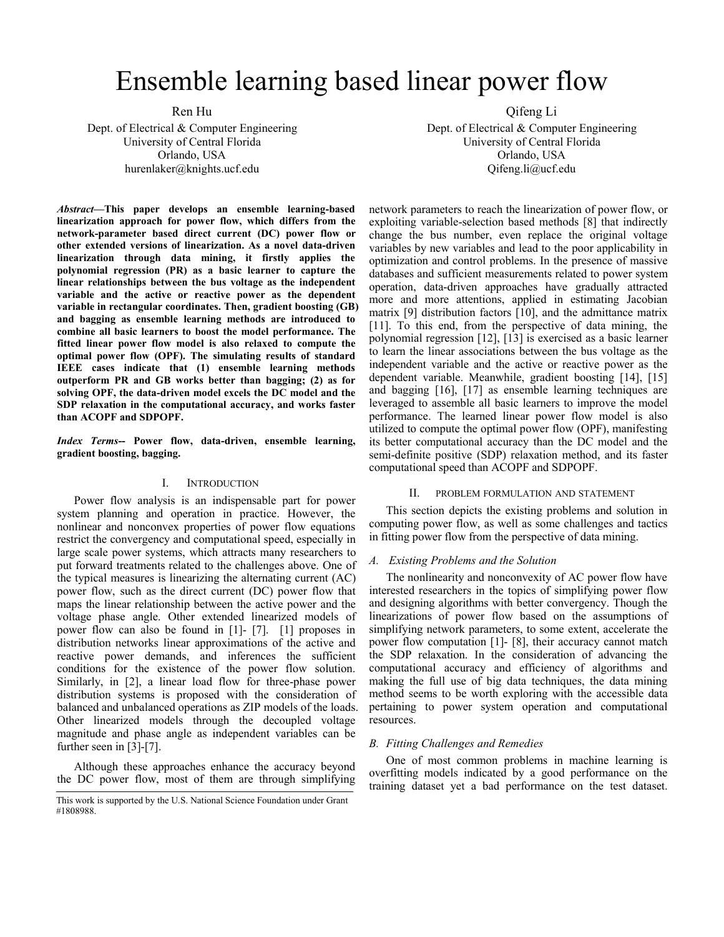# Ensemble learning based linear power flow

Ren Hu

Dept. of Electrical & Computer Engineering University of Central Florida Orlando, USA hurenlaker@knights.ucf.edu

*Abstract***—This paper develops an ensemble learning-based linearization approach for power flow, which differs from the network-parameter based direct current (DC) power flow or other extended versions of linearization. As a novel data-driven linearization through data mining, it firstly applies the polynomial regression (PR) as a basic learner to capture the linear relationships between the bus voltage as the independent variable and the active or reactive power as the dependent variable in rectangular coordinates. Then, gradient boosting (GB) and bagging as ensemble learning methods are introduced to combine all basic learners to boost the model performance. The fitted linear power flow model is also relaxed to compute the optimal power flow (OPF). The simulating results of standard IEEE cases indicate that (1) ensemble learning methods outperform PR and GB works better than bagging; (2) as for solving OPF, the data-driven model excels the DC model and the SDP relaxation in the computational accuracy, and works faster than ACOPF and SDPOPF.**

*Index Terms***-- Power flow, data-driven, ensemble learning, gradient boosting, bagging.**

### I. INTRODUCTION

Power flow analysis is an indispensable part for power II. system planning and operation in practice. However, the nonlinear and nonconvex properties of power flow equations restrict the convergency and computational speed, especially in large scale power systems, which attracts many researchers to put forward treatments related to the challenges above. One of the typical measures is linearizing the alternating current (AC) power flow, such as the direct current (DC) power flow that maps the linear relationship between the active power and the voltage phase angle. Other extended linearized models of power flow can also be found in [1]- [7]. [1] proposes in distribution networks linear approximations of the active and reactive power demands, and inferences the sufficient conditions for the existence of the power flow solution. Similarly, in [2], a linear load flow for three-phase power distribution systems is proposed with the consideration of balanced and unbalanced operations as ZIP models of the loads. Other linearized models through the decoupled voltage magnitude and phase angle as independent variables can be further seen in [3]-[7].

Although these approaches enhance the accuracy beyond the DC power flow, most of them are through simplifying Qifeng Li

Dept. of Electrical & Computer Engineering University of Central Florida Orlando, USA Qifeng.li@ucf.edu

network parameters to reach the linearization of power flow, or exploiting variable-selection based methods [8] that indirectly change the bus number, even replace the original voltage variables by new variables and lead to the poorapplicability in optimization and control problems. In the presence of massive databases and sufficient measurements related to power system operation, data-driven approaches have gradually attracted more and more attentions, applied in estimating Jacobian matrix [9] distribution factors [10], and the admittance matrix [11]. To this end, from the perspective of data mining, the polynomial regression [12], [13] is exercised as a basic learner to learn the linear associations between the bus voltage as the independent variable and the active or reactive power as the dependent variable. Meanwhile, gradient boosting [14], [15] and bagging [16], [17] as ensemble learning techniques are leveraged to assemble all basic learners to improve the model performance. The learned linear power flow model is also utilized to compute the optimal power flow (OPF), manifesting its better computational accuracy than the DC model and the semi-definite positive (SDP) relaxation method, and its faster computational speed than ACOPF and SDPOPF.<br>II. PROBLEM FORMULATION AND STATEMENT

This section depicts the existing problems and solution in computing power flow, as well as some challenges and tactics in fitting power flow from the perspective of data mining.

### *A. Existing Problems and the Solution*

The nonlinearity and nonconvexity of AC power flow have interested researchers in the topics of simplifying power flow and designing algorithms with better convergency. Though the linearizations of power flow based on the assumptions of simplifying network parameters, to some extent, accelerate the power flow computation [1]- [8], their accuracy cannot match the SDP relaxation. In the consideration of advancing the computational accuracy and efficiency of algorithms and making the full use of big data techniques, the data mining method seems to be worth exploring with the accessible data pertaining to power system operation and computational resources.

### *B. Fitting Challenges and Remedies*

One of most common problems in machine learning is overfitting models indicated by a good performance on the training dataset yet a bad performance on the test dataset.

This work is supported by the U.S.National Science Foundation under Grant #1808988.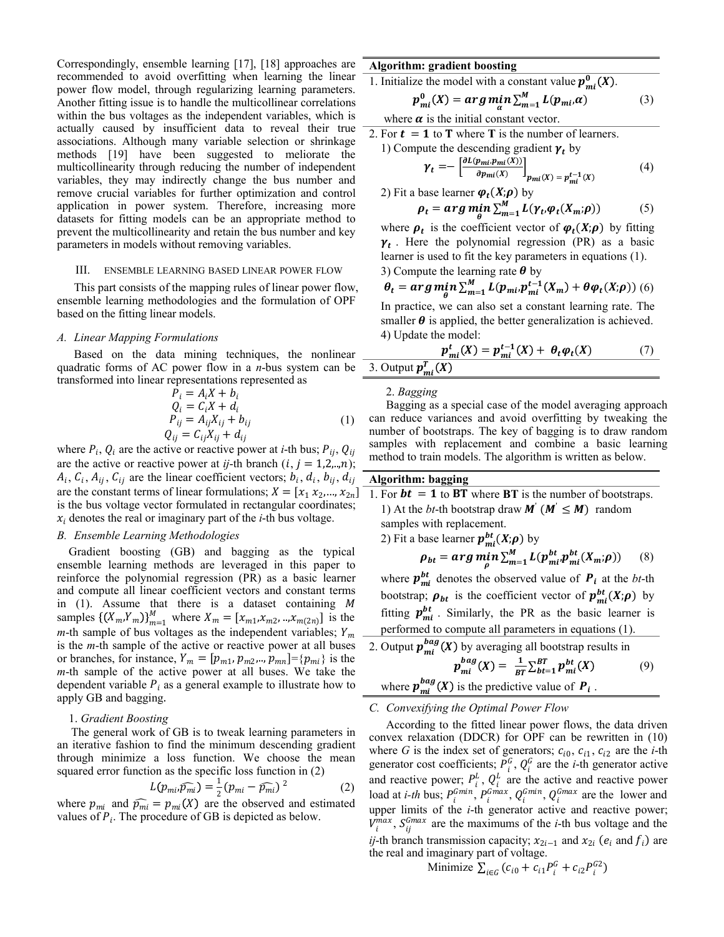Correspondingly, ensemble learning [17], [18] approaches are recommended to avoid overfitting when learning the linear power flow model, through regularizing learning parameters. Another fitting issue is to handle the multicollinear correlations within the bus voltages as the independent variables, which is actually caused by insufficient data to reveal their true associations. Although many variable selection or shrinkage  $\frac{2.161 \text{ J}}{1}$  Computer that  $\frac{101}{1}$  have been expressed to meliorate the  $\frac{1}{1}$ methods [19] have been suggested to meliorate the multicollinearity through reducing the number of independent variables, they may indirectly change the bus number and remove crucial variables for further optimization and control 2) Fit a application in power system. Therefore, increasing more datasets for fitting models can be an appropriate method to prevent the multicollinearity and retain the bus number and key parameters in models without removing variables.

### III. ENSEMBLE LEARNING BASED LINEAR POWER FLOW

This part consists of the mapping rules of linear power flow, ensemble learning methodologies and the formulation of OPF based on the fitting linear models.

### *A. Linear Mapping Formulations*

Based on the data mining techniques, the nonlinear quadratic forms of AC power flow in a *n*-bus system can be transformed into linear representations represented as

 

where  $P_i$ ,  $Q_i$  are the active or reactive power at *i*-th bus;  $P_{ij}$ ,  $Q_{ij}$ are the active or reactive power at *ij*-th branch  $(i, j = 1, 2, \ldots, n)$ ;  $A_i$ ,  $C_i$ ,  $A_{ij}$ ,  $C_{ij}$  are the linear coefficient vectors;  $b_i$ ,  $d_i$ ,  $b_{ij}$ ,  $d_{ij}$  **Algo** are the constant terms of linear formulations;  $X = [x_1, x_2, ..., x_{2n}]$ is the bus voltage vector formulated in rectangular coordinates;  $x_i$  denotes the real or imaginary part of the *i*-th bus voltage.

### *B. Ensemble Learning Methodologies*

Gradient boosting (GB) and bagging as the typical ensemble learning methods are leveraged in this paper to reinforce the polynomial regression (PR) as a basic learner and compute all linear coefficient vectors and constant terms in  $(1)$ . Assume that there is a dataset containing  $M$ samples  $\{(X_m, Y_m)\}_{m=1}^M$  where  $X_m = [x_{m1}, x_{m2}, ..., x_{m(2n)}]$  is the  $\qquad \qquad \text{Iturning } P_{mi}$ .  $m$ -th sample of bus voltages as the independent variables;  $Y_m$ is the *m*-th sample of the active or reactive power atall buses or branches, for instance,  $Y_m = [p_{m1}, p_{m2}, \ldots, p_{mn}] = \{p_{mi}\}\$ is the *m*-th sample of the active power at all buses. We take the dependent variable  $P_i$  as a general example to illustrate how to apply GB and bagging

### 1. *Gradient Boosting*

The general work of GB is to tweak learning parameters in an iterative fashion to find the minimum descending gradient through minimize a loss function. We choose the mean squared error function as the specific loss function in (2)

$$
L(p_{mi}, \widehat{p_{mi}}) = \frac{1}{2} (p_{mi} - \widehat{p_{mi}})^2
$$
 (2) and

where  $p_{mi}$  and  $\widehat{p_{mi}} = p_{mi}(X)$  are the observed and estimated values of  $P_i$ . The procedure of GB is depicted as below.

### **Algorithm: gradient boosting**

1. Initialize the model with a constant value  $p_{mi}^0(X)$ .

$$
p_{mi}^0(X) = arg \min_{\alpha} \sum_{m=1}^{M} L(p_{mi}, \alpha) \tag{3}
$$

where  $\alpha$  is the initial constant vector.

2. For  $t = 1$  to **T** where **T** is the number of learners.

1) Compute the descending gradient 
$$
\gamma_t
$$
 by  

$$
\gamma_t = -\left[\frac{\partial L(p_{mi}, p_{mi}(X))}{\partial p_{mi}(X)}\right]_{t} \quad (\gamma) = t^{-1}(\gamma)
$$
(4)

$$
1 \t o_{p_{mi}}(x) \t 1_{p_{mi}}(x) = p_{mi}^{t-1}(x)
$$
  
2) Fit a base learner  $\varphi_t(X; \rho)$  by

$$
\rho_t = arg \min_{\theta} \sum_{m=1}^{M} L(\gamma_t, \varphi_t(X_m; \rho))
$$
 (5)

where  $\rho_t$  is the coefficient vector of  $\varphi_t(X;\rho)$  by fitting  $\gamma_t$ . Here the polynomial regression (PR) as a basic learner is used to fit the key parameters in equations (1). 3) Compute the learning rate  $\theta$  by

$$
\theta_t = arg \min_{\theta} \sum_{m=1}^{M} L(p_{mi} p_{mi}^{t-1}(X_m) + \theta \varphi_t(X; \rho))
$$
 (6)

In practice, we can also set a constant learning rate. The smaller  $\theta$  is applied, the better generalization is achieved. 4) Update the model:

$$
\frac{p_{mi}^t(X) = p_{mi}^{t-1}(X) + \theta_t \varphi_t(X)}{\text{Output } p_{mi}^T(X)}
$$
\n(7)

2. *Bagging*

 $P_{ij} = A_{ij}X_{ij} + b_{ij}$  (1) can reduce [variances](https://en.wikipedia.org/wiki/Variance) and avoid [overfitting](https://en.wikipedia.org/wiki/Overfitting) by tweaking the  $\overline{Q}_{ij}$  samples with replacement and combine a basic learning<br>method to train models. The algorithm is written as below. Bagging as a special case of the model [averaging](https://en.wikipedia.org/wiki/Ensemble_learning) approach number of bootstraps. The key of bagging is to draw random samples with replacement and combine a basic learning

## , **Algorithm: bagging**

 $\ldots$ ,  $x_{2n}$ ] 1. For **bt** = **1** to **BT** where **BT** is the number of bootstraps. 1) At the *bt*-th bootstrap draw  $M'$  ( $M' \leq M$ ) random samples with replacement.

2) Fit a base learner  $p_{mi}^{bt}(X;\rho)$  by

$$
\rho_{bt} = arg \min_{\rho} \sum_{m=1}^{M} L(p_{mi}^{bt}, p_{mi}^{bt}(X_m; \rho))
$$
 (8)

where  $p_{mi}^{bt}$  denotes the observed value of  $P_i$  at the *bt*-th bootstrap;  $\rho_{bt}$  is the coefficient vector of  $p_{mi}^{bt}(X;\rho)$  by fitting  $p_{mi}^{bt}$ . Similarly, the PR as the basic learner is performed to compute all parameters in equations (1).

2. Output  $p_{mi}^{bag}(X)$  by averaging all bootstrap results in

$$
p_{mi}^{bag}(X) = \frac{1}{BT} \sum_{bt=1}^{BT} p_{mi}^{bt}(X) \tag{9}
$$

where  $p_{mi}^{bag}(X)$  is the predictive value of  $P_i$ . .

### *C. Convexifying the Optimal Power Flow*

 $\frac{1}{2}(p_{mi}-\bar{p}_{mi})^2$  (2) and reactive power;  $P_i^L$ ,  $Q_i^L$  are the active and reactive power<br>load at *i*-th bus;  $P_i^{Gmin}$ ,  $P_i^{Gmax}$ ,  $Q_i^{Gmin}$ ,  $Q_i^{Gmax}$  are the lower and According to the fitted linear power flows, the data driven convex relaxation (DDCR) for OPF can be rewritten in (10) where *G* is the index set of generators;  $c_{i0}$ ,  $c_{i1}$ ,  $c_{i2}$  are the *i*-th generator cost coefficients;  $P_i^G$ ,  $Q_i^G$  are the *i*-th generator active load at *i-th* bus;  $P_i^{Gmin}$ ,  $P_i^{Gmax}$ ,  $Q_i^{Gmin}$ ,  $Q_i^{Gmax}$  are the lower and upper limits of the *i*-th generator active and reactive power;  $V_i^{max}$ ,  $S_{ij}^{Gmax}$  are the maximums of the *i*-th bus voltage and the *ij*-th branch transmission capacity;  $x_{2i-1}$  and  $x_{2i}$  ( $e_i$  and  $f_i$ ) are the real and imaginary part of voltage.

Minimize 
$$
\sum_{i \in G} (c_{i0} + c_{i1} P_i^G + c_{i2} P_i^{G2})
$$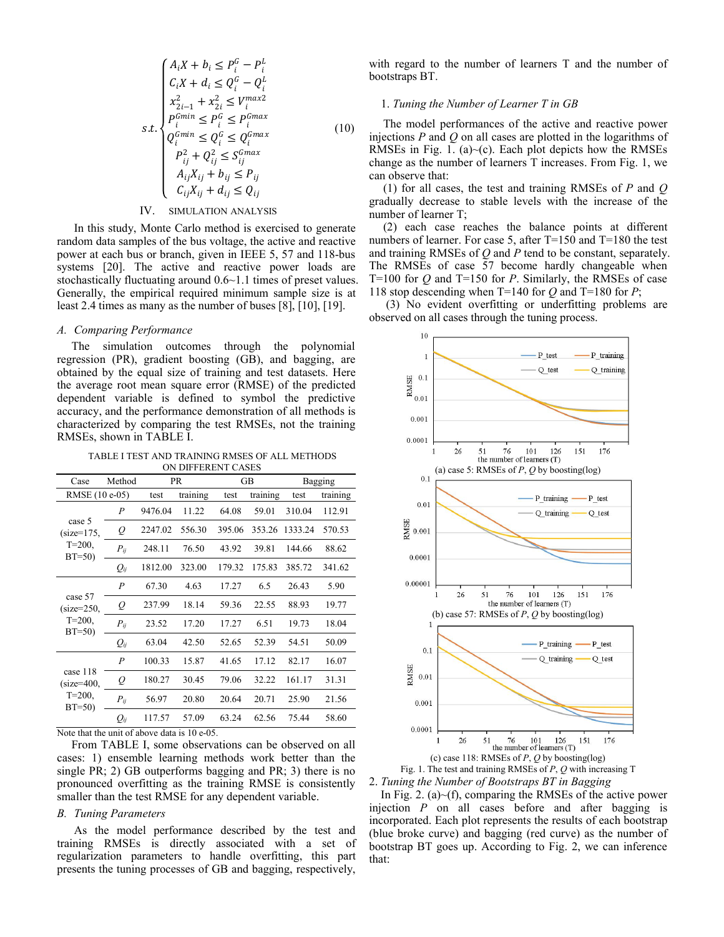| \n $\begin{cases}\n A_i X + b_i \leq P_i^G - P_i^L \\ C_i X + d_i \leq Q_i^G - Q_i^L \\ x_{2i-1}^2 + x_{2i}^2 \leq V_i^{max2}\n \end{cases}$ \n | \n        with regard to the number of 1<br>bootstrap B T.\n                             |                                                                                                                                                                                                                                                                             |                                                                                          |
|-------------------------------------------------------------------------------------------------------------------------------------------------|------------------------------------------------------------------------------------------|-----------------------------------------------------------------------------------------------------------------------------------------------------------------------------------------------------------------------------------------------------------------------------|------------------------------------------------------------------------------------------|
| \n $\begin{cases}\n x_{2i-1}^2 + x_{2i}^2 \leq V_i^{max2}\n \end{cases}$ \n                                                                     | \n        1. Tuning the Number of Learn<br>\n $Q_i^{Gmin} \leq P_i^G \leq P_i^{Gmax}$ \n | \n        (10)\n        The model performances of injections <i>P</i> and <i>Q</i> on all cases a<br>\n        RMSEs in Fig. 1. (a)~(c). Each<br>\n        change as the number of learners<br>\n        A <sub>ij</sub> X <sub>ij</sub> + b <sub>ij</sub> $\leq P_{ij}$ \n | \n        (1) for all cases, the test and<br>\n        gradually decrease to stable le\n |

### IV. SIMULATION ANALYSIS

In this study, Monte Carlo method is exercised to generate random data samples of the bus voltage, the active and reactive power at each bus or branch, given in IEEE 5, 57 and 118-bus systems [20]. The active and reactive power loads are stochastically fluctuating around 0.6~1.1 times of preset values. Generally, the empirical required minimum sample size is at least 2.4 times as many as the number of buses [8], [10], [19].

### *A. Comparing Performance*

The simulation outcomes through the polynomial regression (PR), gradient boosting  $(G\overline{B})$ , and bagging, are obtained by the equal size of training and test datasets. Here the average root mean square error (RMSE) of the predicted dependent variable is defined to symbol the predictive  $\frac{1}{2}$  0.01 the average root mean square error (RMSE) of the predicted dependent variable is defined to symbol the predictive accuracy, and the performance demonstration of all methods is characterized by comparing the test RMSEs, not the training RMSEs, shown in TABLE I.

TABLE I TEST AND TRAINING RMSES OF ALL METHODS ON DIFFERENT CASES

| Case                     | Method           |         | PR       |        | <b>GB</b> |         | Bagging  |
|--------------------------|------------------|---------|----------|--------|-----------|---------|----------|
| RMSE (10 e-05)           |                  | test    | training | test   | training  | test    | training |
|                          | $\boldsymbol{P}$ | 9476.04 | 11.22    | 64.08  | 59.01     | 310.04  | 112.91   |
| case 5<br>$(size=175,$   | $\varrho$        | 2247.02 | 556.30   | 395.06 | 353.26    | 1333.24 | 570.53   |
| $T = 200$ ,<br>$BT=50$   | $P_{ij}$         | 248.11  | 76.50    | 43.92  | 39.81     | 144.66  | 88.62    |
|                          | $Q_{ij}$         | 1812.00 | 323.00   | 179.32 | 175.83    | 385.72  | 341.62   |
|                          | $\boldsymbol{P}$ | 67.30   | 4.63     | 17.27  | 6.5       | 26.43   | 5.90     |
| case 57<br>$(size=250,$  | $\varrho$        | 237.99  | 18.14    | 59.36  | 22.55     | 88.93   | 19.77    |
| $T = 200$ ,<br>$BT=50$   | $P_{ii}$         | 23.52   | 17.20    | 17.27  | 6.51      | 19.73   | 18.04    |
|                          | $Q_{ij}$         | 63.04   | 42.50    | 52.65  | 52.39     | 54.51   | 50.09    |
|                          | $\overline{P}$   | 100.33  | 15.87    | 41.65  | 17.12     | 82.17   | 16.07    |
| case 118<br>$(size=400,$ | Q                | 180.27  | 30.45    | 79.06  | 32.22     | 161.17  | 31.31    |
| $T = 200,$<br>$BT=50$    | $P_{ii}$         | 56.97   | 20.80    | 20.64  | 20.71     | 25.90   | 21.56    |
|                          | $Q_{ij}$         | 117.57  | 57.09    | 63.24  | 62.56     | 75.44   | 58.60    |

Note that the unit of above data is 10 e-05.

From TABLE I, some observations can be observed on all cases: 1) ensemble learning methods work better than the single PR; 2) GB outperforms bagging and PR; 3) there is no pronounced overfitting as the training RMSE is consistently smaller than the test RMSE for any dependent variable.

### *B. Tuning Parameters*

As the model performance described by the test and training RMSEs is directly associated with a set of regularization parameters to handle overfitting, this part presents the tuning processes of GB and bagging, respectively,

 $\frac{G}{i} - P_i^L$  with regard to the number of learners T and the number of bootstraps BT.

### 1. *Tuning the Number of Learner T inGB*

 $\frac{a}{i} \leq Q_i^{\text{Gmax}}$  injections *P* and *Q* on all cases are plotted in the logarithms of (10) The model performances of the active and reactive power RMSEs in Fig. 1. (a) $\sim$ (c). Each plot depicts how the RMSEs change as the number of learners T increases. From Fig. 1, we

> (1) for all cases, the test and training RMSEs of *P* and *Q* gradually decrease to stable levels with the increase of the number of learner T;

> (2) each case reaches the balance points at different numbers of learner. For case 5, after T=150 and T=180 the test and training RMSEs of*Q* and *P* tend to be constant, separately. The RMSEs of case 57 become hardly changeable when T=100 for *Q* and T=150 for *P*. Similarly, the RMSEs of case 118 stop descending when T=140 for *Q* and T=180 for *P*;

> (3) No evident overfitting or underfitting problems are observed on all cases through the tuning process.



2. *Tuning the Number of Bootstraps BT inBagging*

In Fig. 2. (a) $\sim$ (f), comparing the RMSEs of the active power injection *P* on all cases before and after bagging is incorporated. Each plot represents the results of each bootstrap (blue broke curve) and bagging (red curve) as the number of bootstrap BT goes up. According to Fig. 2, we can inference that: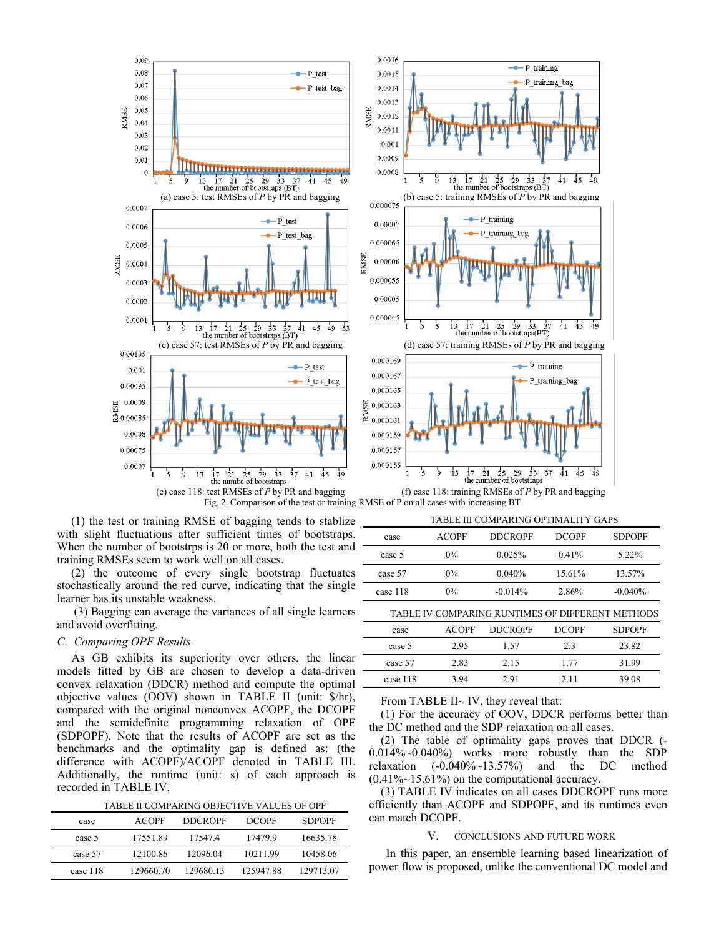

(1) the test or training RMSE of bagging tends to stablize with slight fluctuations after sufficient times of bootstraps. When the number of bootstrps is 20 or more, both the test and training RMSEs seem to work well on all cases.

(2) the outcome of every single bootstrap fluctuates stochastically around the red curve, indicating that the single learner has its unstable weakness.

(3) Bagging can average the variances of all single learners and avoid overfitting.

### *C. Comparing OPF Results*

As GB exhibits its superiority over others, the linear models fitted by GB are chosen to develop a data-driven convex relaxation (DDCR) method and compute the optimal objective values (OOV) shown in TABLE II (unit: \$/hr), compared with the original nonconvex ACOPF, the DCOPF and the semidefinite programming relaxation of OPF (SDPOPF). Note that the results of ACOPF are set as the benchmarks and the optimality gap is defined as: (the difference with ACOPF)/ACOPF denoted in TABLE III. relaxation Additionally, the runtime (unit: s) of each approach is recorded in TABLE IV.

TABLE II COMPARING OBJECTIVE VALUES OF OPF

| can match DCOPF.                   | <b>SDPOPF</b> | <b>DCOPF</b> | <b>DDCROPF</b> | <b>ACOPF</b> | case     |
|------------------------------------|---------------|--------------|----------------|--------------|----------|
| CONCLUSIONS A<br>V.                | 16635.78      | 174799       | 17547.4        | 17551.89     | case 5   |
| In this paper, an ensemble le      | 10458.06      | 10211.99     | 12096.04       | 12100.86     | case 57  |
| power flow is proposed, unlike the | 129713.07     | 125947.88    | 129680.13      | 129660.70    | case 118 |

|          |              | ниян шолиништо он нинин годи э                   |              |               |
|----------|--------------|--------------------------------------------------|--------------|---------------|
| case     | <b>ACOPF</b> | <b>DDCROPF</b>                                   | <b>DCOPF</b> | <b>SDPOPF</b> |
| case 5   | 0%           | 0.025%                                           | 0.41%        | 5.22%         |
| case 57  | 0%           | 0.040%                                           | 15.61%       | 13.57%        |
| case 118 | 0%           | $-0.014%$                                        | 2.86%        | $-0.040%$     |
|          |              | TABLE IV COMPARING RUNTIMES OF DIFFERENT METHODS |              |               |
| case     | <b>ACOPF</b> | <b>DDCROPF</b>                                   | <b>DCOPF</b> | <b>SDPOPF</b> |
| case 5   | 2.95         | 1.57                                             | 2.3          | 23.82         |
| case 57  | 2.83         | 2.15                                             | 1.77         | 31.99         |
| case 118 | 3.94         | 2.91                                             | 2.11         | 39.08         |

From TABLE II~ IV, they reveal that:

(1) For the accuracy of OOV, DDCR performs better than the DC method and the SDP relaxation on all cases.

 $(2)$  The table of optimality gaps proves that DDCR  $(-1)$ 0.014%~0.040%) works more robustly than the SDP  $(-0.040\%~13.57\%)$  and the DC method  $(0.41\%~15.61\%)$  on the computational accuracy.

(3) TABLE IV indicates on all cases DDCROPF runs more efficiently than ACOPF and SDPOPF, and its runtimes even

### V. CONCLUSIONS AND FUTURE WORK

case 57 12100.86 12096.04 10211.99 10458.06 In this paper,an ensemble learning based linearization of power flow is proposed, unlike the conventional DC model and